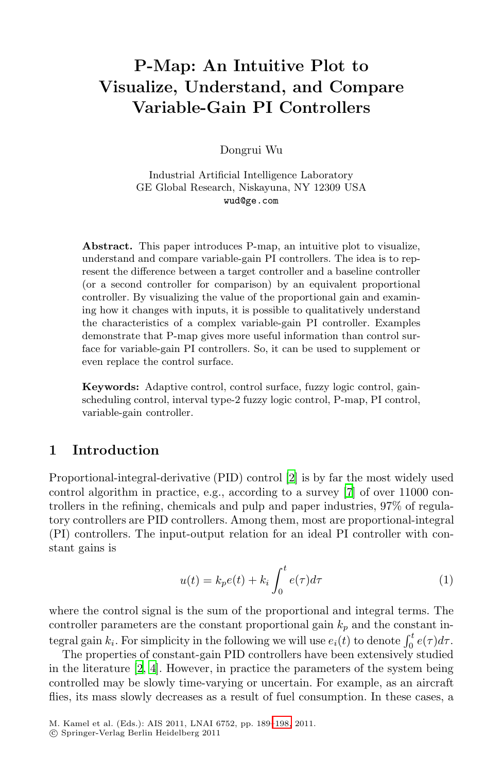# **P-Map: An Intuitive Plot to Visualize, Understand, and Compare Variable-Gain PI Controllers**

Dongrui Wu

Industrial Artificial Intelligence Laboratory GE Global Research, Niskayuna, NY 12309 USA wud@ge.com

**Abstract.** This paper introduces P-map, an intuitive plot to visualize, understand and compare variable-gain PI controllers. The idea is to represent the difference between a target controller and a baseline controller (or a second controller for comparison) by an equivalent proportional controller. By visualizing the value of the proportional gain and examining how it changes with inputs, it is possible to qualitatively understand the characteristics of a complex variable-gain PI controller. Examples demonstrate that P-map gives more useful information than control surface for variable-gain PI controllers. So, it can be used to supplement or even replace the control surface.

**Keywords:** Adaptive control, control surface, fuzzy logic control, gainscheduling control, interval type-2 fuzzy logic control, P-map, PI control, variable-gain controller.

## **1 Introduction**

Proportional-integral-derivative (PID) control [\[2\]](#page-8-0) is by far the most widely used control algorithm in practice, e.g., according to a survey [\[7](#page-8-1)] of over 11000 controllers in the refining, chemicals and pulp and paper industries, 97% of regulatory controllers are PID controllers. Among them, most are proportional-integral (PI) controllers. The input-output relation for an ideal PI controller with constant gains is

$$
u(t) = k_p e(t) + k_i \int_0^t e(\tau) d\tau
$$
 (1)

where the control signal is the sum of the proportional and integral terms. The controller parameters are the constant proportional gain  $k_p$  and the constant integral gain  $k_i$ . For simplicity in the following we will use  $e_i(t)$  to denote  $\int_0^t e(\tau)d\tau$ .

The properties of constant-gain PID controllers have been extensively studied in the literature [\[2](#page-8-0), [4](#page-8-2)]. However, in practice the parameters of the system being controlled may be slowly time-varying or uncertain. For example, as an aircraft flies, its mass slowly decreases as a result of fuel consumption. In these cases, a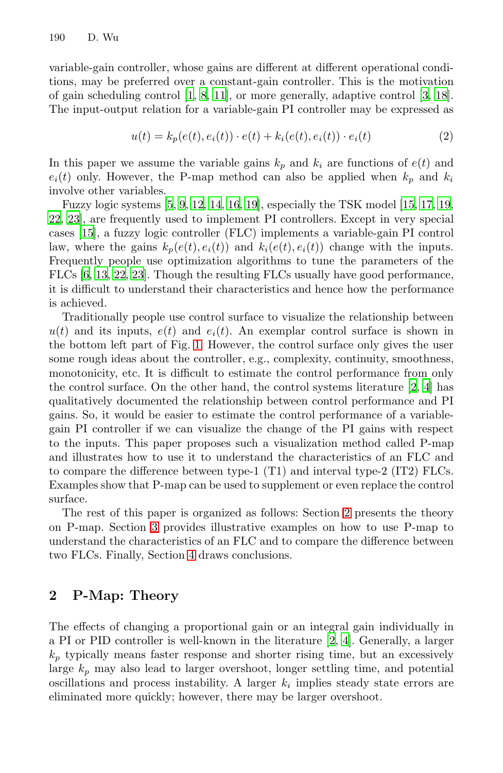variable-gain controller, whose gains are different at different operational conditions, may be preferred over a constant-gain controller. This is the motivation of gain scheduling control [\[1](#page-8-3), [8,](#page-8-4) [11\]](#page-9-1), or more generally, adaptive control [\[3,](#page-8-5) [18](#page-9-2)]. The input-output relation for a variable-gain PI controller may be expressed as

$$
u(t) = k_p(e(t), e_i(t)) \cdot e(t) + k_i(e(t), e_i(t)) \cdot e_i(t)
$$
\n(2)

In this paper we assume the variable gains  $k_p$  and  $k_i$  are functions of  $e(t)$  and  $e_i(t)$  only. However, the P-map method can also be applied when  $k_p$  and  $k_i$ involve other variables.

Fuzzy logic systems [\[5,](#page-8-6) [9](#page-8-7), [12,](#page-9-3) [14](#page-9-4), [16,](#page-9-5) [19](#page-9-6)], especially the TSK model [\[15](#page-9-7), [17,](#page-9-8) [19,](#page-9-6) [22,](#page-9-9) [23\]](#page-9-10), are frequently used to implement PI controllers. Except in very special cases [\[15\]](#page-9-7), a fuzzy logic controller (FLC) implements a variable-gain PI control law, where the gains  $k_p(e(t), e_i(t))$  and  $k_i(e(t), e_i(t))$  change with the inputs. Frequently people use optimization algorithms to tune the parameters of the FLCs [\[6](#page-8-8), [13,](#page-9-11) [22](#page-9-9), [23\]](#page-9-10). Though the resulting FLCs usually have good performance, it is difficult to understand their characteristics and hence how the performance is achieved.

Traditionally people use control surface to visualize the relationship between  $u(t)$  and its inputs,  $e(t)$  and  $e_i(t)$ . An exemplar control surface is shown in the bottom left part of Fig. [1.](#page-5-0) However, the control surface only gives the user some rough ideas about the controller, e.g., complexity, continuity, smoothness, monotonicity, etc. It is difficult to estimate the control performance from only the control surface. On the other hand, the control systems literature  $[2, 4]$  $[2, 4]$  $[2, 4]$  $[2, 4]$  has qualitatively documented the relationship between control performance and PI gains. So, it would be easier to estimate the control performance of a variablegain PI controller if we can visualize the change of the PI gains with respect to the inputs. This paper proposes such a visualization method called P-map and illustrates how to use it to understand the characteristics of an FLC and to compare the difference between type-1 (T1) and interval type-2 (IT2) FLCs. Examples show that P-map can be used to supplement or even replace the control surface.

The rest of this paper is organized as follows: Section [2](#page-1-0) presents the theory on P-map. Section [3](#page-3-0) provides illustrative examples on how to use P-map to understand the characteristics of an FLC and to compare the difference between two FLCs. Finally, Section [4](#page-8-9) draws conclusions.

## <span id="page-1-0"></span>**2 P-Map: Theory**

The effects of changing a proportional gain or an integral gain individually in a PI or PID controller is well-known in the literature [\[2](#page-8-0), [4\]](#page-8-2). Generally, a larger  $k_p$  typically means faster response and shorter rising time, but an excessively large k*<sup>p</sup>* may also lead to larger overshoot, longer settling time, and potential oscillations and process instability. A larger  $k_i$  implies steady state errors are eliminated more quickly; however, there may be larger overshoot.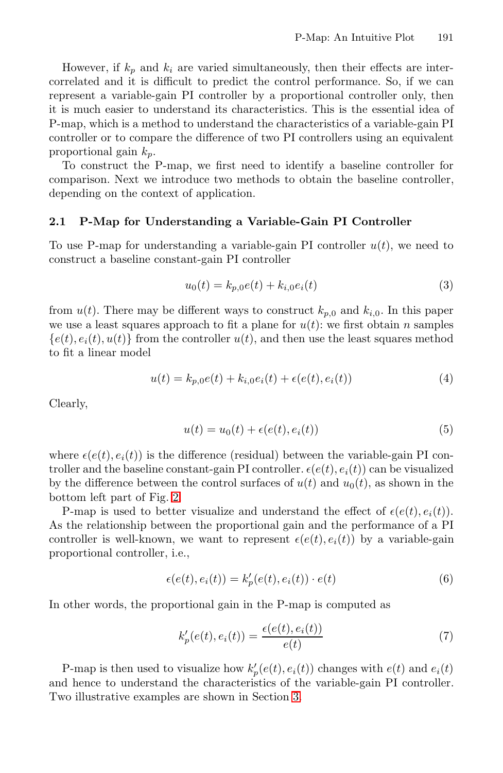However, if  $k_p$  and  $k_i$  are varied simultaneously, then their effects are intercorrelated and it is difficult to predict the control performance. So, if we can represent a variable-gain PI controller by a proportional controller only, then it is much easier to understand its characteristics. This is the essential idea of P-map, which is a method to understand the characteristics of a variable-gain PI controller or to compare the difference of two PI controllers using an equivalent proportional gain k*p*.

To construct the P-map, we first need to identify a baseline controller for comparison. Next we introduce two methods to obtain the baseline controller, depending on the context of application.

#### **2.1 P-Map for Understanding a Variable-Gain PI Controller**

To use P-map for understanding a variable-gain PI controller  $u(t)$ , we need to construct a baseline constant-gain PI controller

$$
u_0(t) = k_{p,0}e(t) + k_{i,0}e_i(t)
$$
\n(3)

from  $u(t)$ . There may be different ways to construct  $k_{p,0}$  and  $k_{i,0}$ . In this paper we use a least squares approach to fit a plane for  $u(t)$ : we first obtain n samples  ${e(t), e_i(t), u(t)}$  from the controller  $u(t)$ , and then use the least squares method to fit a linear model

$$
u(t) = k_{p,0}e(t) + k_{i,0}e_i(t) + \epsilon(e(t), e_i(t))
$$
\n(4)

Clearly,

$$
u(t) = u_0(t) + \epsilon(e(t), e_i(t))
$$
\n<sup>(5)</sup>

where  $e(e(t), e_i(t))$  is the difference (residual) between the variable-gain PI controller and the baseline constant-gain PI controller.  $\epsilon(e(t), e_i(t))$  can be visualized by the difference between the control surfaces of  $u(t)$  and  $u_0(t)$ , as shown in the bottom left part of Fig. [2.](#page-6-0)

P-map is used to better visualize and understand the effect of  $\epsilon(e(t), e_i(t))$ . As the relationship between the proportional gain and the performance of a PI controller is well-known, we want to represent  $\epsilon(e(t), e_i(t))$  by a variable-gain proportional controller, i.e.,

$$
\epsilon(e(t), e_i(t)) = k_p'(e(t), e_i(t)) \cdot e(t)
$$
\n(6)

In other words, the proportional gain in the P-map is computed as

<span id="page-2-0"></span>
$$
k'_{p}(e(t), e_{i}(t)) = \frac{\epsilon(e(t), e_{i}(t))}{e(t)}
$$
\n(7)

P-map is then used to visualize how  $k'_{p}(e(t), e_i(t))$  changes with  $e(t)$  and  $e_i(t)$ and hence to understand the characteristics of the variable-gain PI controller. Two illustrative examples are shown in Section [3.](#page-3-0)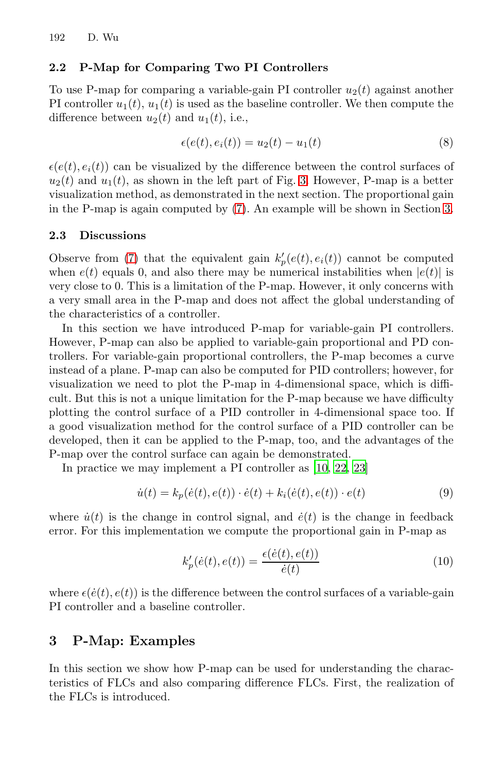#### **2.2 P-Map for Comparing Two PI Controllers**

To use P-map for comparing a variable-gain PI controller  $u_2(t)$  against another PI controller  $u_1(t)$ ,  $u_1(t)$  is used as the baseline controller. We then compute the difference between  $u_2(t)$  and  $u_1(t)$ , i.e.,

$$
\epsilon(e(t), e_i(t)) = u_2(t) - u_1(t)
$$
\n(8)

 $\epsilon(e(t), e_i(t))$  can be visualized by the difference between the control surfaces of  $u_2(t)$  and  $u_1(t)$ , as shown in the left part of Fig. [3.](#page-7-0) However, P-map is a better visualization method, as demonstrated in the next section. The proportional gain in the P-map is again computed by [\(7\)](#page-2-0). An example will be shown in Section [3.](#page-3-0)

#### **2.3 Discussions**

Observe from [\(7\)](#page-2-0) that the equivalent gain  $k'_{p}(e(t), e_i(t))$  cannot be computed when  $e(t)$  equals 0, and also there may be numerical instabilities when  $|e(t)|$  is very close to 0. This is a limitation of the P-map. However, it only concerns with a very small area in the P-map and does not affect the global understanding of the characteristics of a controller.

In this section we have introduced P-map for variable-gain PI controllers. However, P-map can also be applied to variable-gain proportional and PD controllers. For variable-gain proportional controllers, the P-map becomes a curve instead of a plane. P-map can also be computed for PID controllers; however, for visualization we need to plot the P-map in 4-dimensional space, which is difficult. But this is not a unique limitation for the P-map because we have difficulty plotting the control surface of a PID controller in 4-dimensional space too. If a good visualization method for the control surface of a PID controller can be developed, then it can be applied to the P-map, too, and the advantages of the P-map over the control surface can again be demonstrated.

In practice we may implement a PI controller as [\[10](#page-9-12), [22](#page-9-9), [23](#page-9-10)]

$$
\dot{u}(t) = k_p(\dot{e}(t), e(t)) \cdot \dot{e}(t) + k_i(\dot{e}(t), e(t)) \cdot e(t)
$$
\n(9)

where  $\dot{u}(t)$  is the change in control signal, and  $\dot{e}(t)$  is the change in feedback error. For this implementation we compute the proportional gain in P-map as

<span id="page-3-1"></span>
$$
k'_{p}(\dot{e}(t), e(t)) = \frac{\epsilon(\dot{e}(t), e(t))}{\dot{e}(t)}
$$
\n(10)

where  $\epsilon(\dot{e}(t), e(t))$  is the difference between the control surfaces of a variable-gain PI controller and a baseline controller.

### <span id="page-3-0"></span>**3 P-Map: Examples**

In this section we show how P-map can be used for understanding the characteristics of FLCs and also comparing difference FLCs. First, the realization of the FLCs is introduced.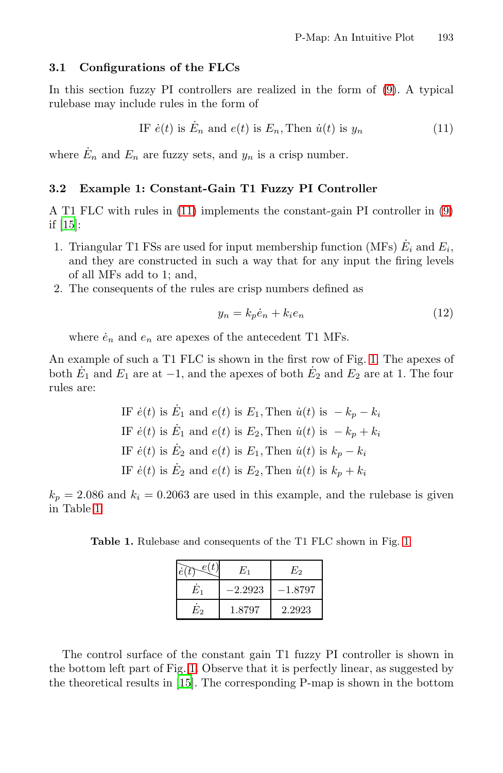#### **3.1 Configurations of the FLCs**

In this section fuzzy PI controllers are realized in the form of [\(9\)](#page-3-1). A typical rulebase may include rules in the form of

IF 
$$
\dot{e}(t)
$$
 is  $\dot{E}_n$  and  $e(t)$  is  $E_n$ , Then  $\dot{u}(t)$  is  $y_n$  (11)

where  $\dot{E}_n$  and  $E_n$  are fuzzy sets, and  $y_n$  is a crisp number.

#### **3.2 Example 1: Constant-Gain T1 Fuzzy PI Controller**

A T1 FLC with rules in [\(11\)](#page-4-0) implements the constant-gain PI controller in [\(9\)](#page-3-1) if [\[15\]](#page-9-7):

- 1. Triangular T1 FSs are used for input membership function (MFs)  $E_i$  and  $E_i$ , and they are constructed in such a way that for any input the firing levels of all MFs add to 1; and,
- 2. The consequents of the rules are crisp numbers defined as

<span id="page-4-0"></span>
$$
y_n = k_p \dot{e}_n + k_i e_n \tag{12}
$$

where  $\dot{e}_n$  and  $e_n$  are apexes of the antecedent T1 MFs.

An example of such a T1 FLC is shown in the first row of Fig. [1.](#page-5-0) The apexes of both  $\dot{E}_1$  and  $E_1$  are at  $-1$ , and the apexes of both  $\dot{E}_2$  and  $E_2$  are at 1. The four rules are:

IF 
$$
\dot{e}(t)
$$
 is  $\dot{E}_1$  and  $e(t)$  is  $E_1$ , Then  $\dot{u}(t)$  is  $-k_p - k_i$   
\nIF  $\dot{e}(t)$  is  $\dot{E}_1$  and  $e(t)$  is  $E_2$ , Then  $\dot{u}(t)$  is  $-k_p + k_i$   
\nIF  $\dot{e}(t)$  is  $\dot{E}_2$  and  $e(t)$  is  $E_1$ , Then  $\dot{u}(t)$  is  $k_p - k_i$   
\nIF  $\dot{e}(t)$  is  $\dot{E}_2$  and  $e(t)$  is  $E_2$ , Then  $\dot{u}(t)$  is  $k_p + k_i$ 

 $k_p = 2.086$  and  $k_i = 0.2063$  are used in this example, and the rulebase is given in Table [1.](#page-4-1)

**Table 1.** Rulebase and consequents of the T1 FLC shown in Fig. [1.](#page-5-0)

<span id="page-4-1"></span>

|       | $E_{1}$   | E2      |
|-------|-----------|---------|
| $E_1$ | $-2.2923$ | –1.8797 |
| E2    | 1.8797    | 2.2923  |

The control surface of the constant gain T1 fuzzy PI controller is shown in the bottom left part of Fig. [1.](#page-5-0) Observe that it is perfectly linear, as suggested by the theoretical results in [\[15](#page-9-7)]. The corresponding P-map is shown in the bottom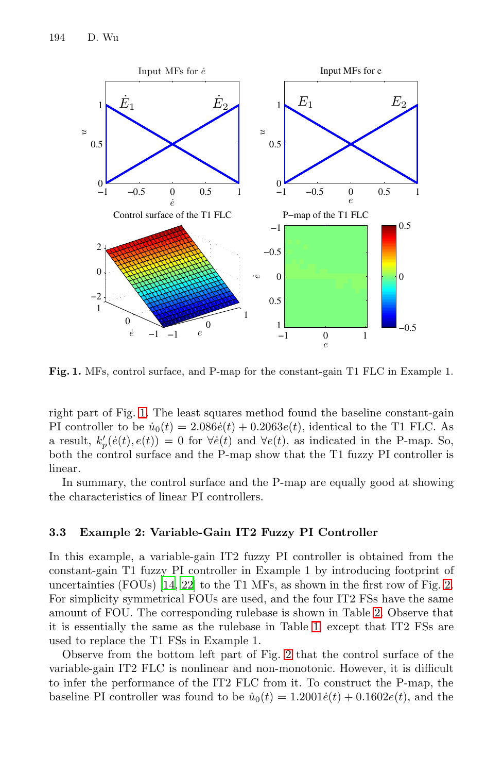

<span id="page-5-0"></span>**Fig. 1.** MFs, control surface, and P-map for the constant-gain T1 FLC in Example 1.

right part of Fig. [1.](#page-5-0) The least squares method found the baseline constant-gain PI controller to be  $\dot{u}_0(t)=2.086 \dot{e}(t)+0.2063 e(t)$ , identical to the T1 FLC. As a result,  $k'_{p}(e(t), e(t)) = 0$  for  $\forall e(t)$  and  $\forall e(t)$ , as indicated in the P-map. So, both the control surface and the P-map show that the T1 fuzzy PI controller is linear.

In summary, the control surface and the P-map are equally good at showing the characteristics of linear PI controllers.

#### **3.3 Example 2: Variable-Gain IT2 Fuzzy PI Controller**

In this example, a variable-gain IT2 fuzzy PI controller is obtained from the constant-gain T1 fuzzy PI controller in Example 1 by introducing footprint of uncertainties (FOUs) [\[14](#page-9-4), [22](#page-9-9)] to the T1 MFs, as shown in the first row of Fig. [2.](#page-6-0) For simplicity symmetrical FOUs are used, and the four IT2 FSs have the same amount of FOU. The corresponding rulebase is shown in Table [2.](#page-7-1) Observe that it is essentially the same as the rulebase in Table [1,](#page-4-1) except that IT2 FSs are used to replace the T1 FSs in Example 1.

Observe from the bottom left part of Fig. [2](#page-6-0) that the control surface of the variable-gain IT2 FLC is nonlinear and non-monotonic. However, it is difficult to infer the performance of the IT2 FLC from it. To construct the P-map, the baseline PI controller was found to be  $\dot{u}_0(t)=1.2001 \dot{e}(t)+0.1602 e(t)$ , and the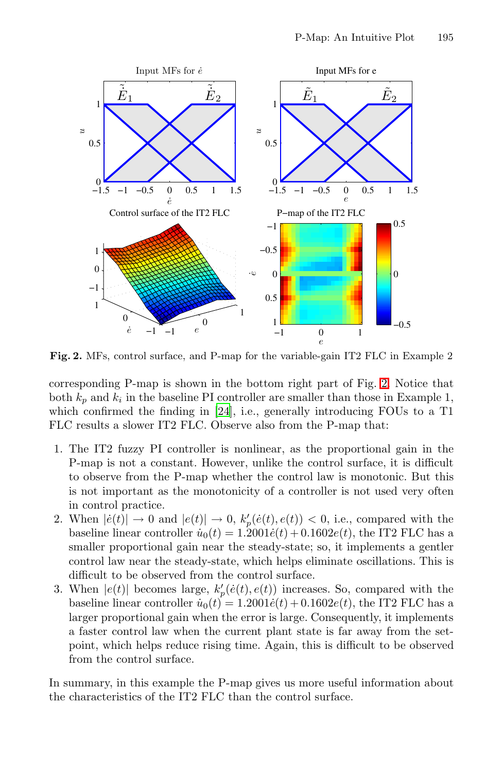

<span id="page-6-0"></span>**Fig. 2.** MFs, control surface, and P-map for the variable-gain IT2 FLC in Example 2

corresponding P-map is shown in the bottom right part of Fig. [2.](#page-6-0) Notice that both  $k_p$  and  $k_i$  in the baseline PI controller are smaller than those in Example 1, which confirmed the finding in [\[24](#page-9-13)], i.e., generally introducing FOUs to a T1 FLC results a slower IT2 FLC. Observe also from the P-map that:

- 1. The IT2 fuzzy PI controller is nonlinear, as the proportional gain in the P-map is not a constant. However, unlike the control surface, it is difficult to observe from the P-map whether the control law is monotonic. But this is not important as the monotonicity of a controller is not used very often in control practice.
- 2. When  $| \dot{e}(t) | \rightarrow 0$  and  $| e(t) | \rightarrow 0$ ,  $k'_p(\dot{e}(t), e(t)) < 0$ , i.e., compared with the baseline linear controller  $\dot{u}_0(t)=1.2001 \dot{e}(t)+0.1602 e(t)$ , the IT2 FLC has a smaller proportional gain near the steady-state; so, it implements a gentler control law near the steady-state, which helps eliminate oscillations. This is difficult to be observed from the control surface.
- 3. When  $|e(t)|$  becomes large,  $k'_{p}(\dot{e}(t), e(t))$  increases. So, compared with the baseline linear controller  $\dot{u}_0(t)=1.2001 \dot{e}(t)+0.1602 e(t)$ , the IT2 FLC has a larger proportional gain when the error is large. Consequently, it implements a faster control law when the current plant state is far away from the setpoint, which helps reduce rising time. Again, this is difficult to be observed from the control surface.

In summary, in this example the P-map gives us more useful information about the characteristics of the IT2 FLC than the control surface.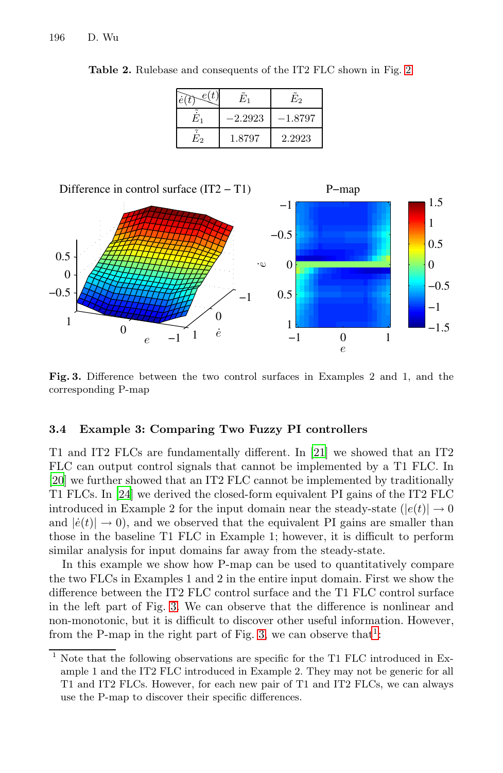<span id="page-7-1"></span>

|    | E1        | E2      |
|----|-----------|---------|
| н. | $-2.2923$ | –1.8797 |
| Ŀ2 | 1.8797    | 2.2923  |

**Table 2.** Rulebase and consequents of the IT2 FLC shown in Fig. [2.](#page-6-0)



<span id="page-7-0"></span>**Fig. 3.** Difference between the two control surfaces in Examples 2 and 1, and the corresponding P-map

#### **3.4 Example 3: Comparing Two Fuzzy PI controllers**

T1 and IT2 FLCs are fundamentally different. In [\[21\]](#page-9-14) we showed that an IT2 FLC can output control signals that cannot be implemented by a T1 FLC. In [\[20\]](#page-9-15) we further showed that an IT2 FLC cannot be implemented by traditionally T1 FLCs. In [\[24\]](#page-9-13) we derived the closed-form equivalent PI gains of the IT2 FLC introduced in Example 2 for the input domain near the steady-state  $(|e(t)| \rightarrow 0$ and  $|\dot{e}(t)| \rightarrow 0$ , and we observed that the equivalent PI gains are smaller than those in the baseline T1 FLC in Example 1; however, it is difficult to perform similar analysis for input domains far away from the steady-state.

In this example we show how P-map can be used to quantitatively compare the two FLCs in Examples 1 and 2 in the entire input domain. First we show the difference between the IT2 FLC control surface and the T1 FLC control surface in the left part of Fig. [3.](#page-7-0) We can observe that the difference is nonlinear and non-monotonic, but it is difficult to discover other useful information. However, from the P-map in the right part of Fig. [3,](#page-7-0) we can observe that<sup>[1](#page-7-2)</sup>:

<span id="page-7-2"></span>Note that the following observations are specific for the T1 FLC introduced in Example 1 and the IT2 FLC introduced in Example 2. They may not be generic for all T1 and IT2 FLCs. However, for each new pair of T1 and IT2 FLCs, we can always use the P-map to discover their specific differences.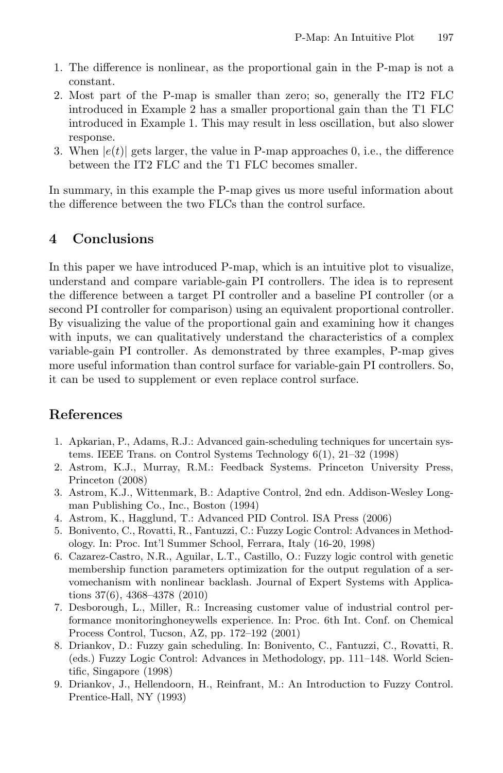- 1. The difference is nonlinear, as the proportional gain in the P-map is not a constant.
- 2. Most part of the P-map is smaller than zero; so, generally the IT2 FLC introduced in Example 2 has a smaller proportional gain than the T1 FLC introduced in Example 1. This may result in less oscillation, but also slower response.
- 3. When  $|e(t)|$  gets larger, the value in P-map approaches 0, i.e., the difference between the IT2 FLC and the T1 FLC becomes smaller.

In summary, in this example the P-map gives us more useful information about the difference between the two FLCs than the control surface.

# <span id="page-8-9"></span>**4 Conclusions**

In this paper we have introduced P-map, which is an intuitive plot to visualize, understand and compare variable-gain PI controllers. The idea is to represent the difference between a target PI controller and a baseline PI controller (or a second PI controller for comparison) using an equivalent proportional controller. By visualizing the value of the proportional gain and examining how it changes with inputs, we can qualitatively understand the characteristics of a complex variable-gain PI controller. As demonstrated by three examples, P-map gives more useful information than control surface for variable-gain PI controllers. So, it can be used to supplement or even replace control surface.

# **References**

- <span id="page-8-3"></span>1. Apkarian, P., Adams, R.J.: Advanced gain-scheduling techniques for uncertain systems. IEEE Trans. on Control Systems Technology 6(1), 21–32 (1998)
- <span id="page-8-0"></span>2. Astrom, K.J., Murray, R.M.: Feedback Systems. Princeton University Press, Princeton (2008)
- <span id="page-8-5"></span>3. Astrom, K.J., Wittenmark, B.: Adaptive Control, 2nd edn. Addison-Wesley Longman Publishing Co., Inc., Boston (1994)
- <span id="page-8-2"></span>4. Astrom, K., Hagglund, T.: Advanced PID Control. ISA Press (2006)
- <span id="page-8-6"></span>5. Bonivento, C., Rovatti, R., Fantuzzi, C.: Fuzzy Logic Control: Advances in Methodology. In: Proc. Int'l Summer School, Ferrara, Italy (16-20, 1998)
- <span id="page-8-8"></span>6. Cazarez-Castro, N.R., Aguilar, L.T., Castillo, O.: Fuzzy logic control with genetic membership function parameters optimization for the output regulation of a servomechanism with nonlinear backlash. Journal of Expert Systems with Applications 37(6), 4368–4378 (2010)
- <span id="page-8-1"></span>7. Desborough, L., Miller, R.: Increasing customer value of industrial control performance monitoringhoneywells experience. In: Proc. 6th Int. Conf. on Chemical Process Control, Tucson, AZ, pp. 172–192 (2001)
- <span id="page-8-4"></span>8. Driankov, D.: Fuzzy gain scheduling. In: Bonivento, C., Fantuzzi, C., Rovatti, R. (eds.) Fuzzy Logic Control: Advances in Methodology, pp. 111–148. World Scientific, Singapore (1998)
- <span id="page-8-7"></span>9. Driankov, J., Hellendoorn, H., Reinfrant, M.: An Introduction to Fuzzy Control. Prentice-Hall, NY (1993)